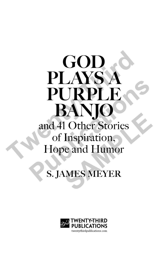# GOD PLAYS PURPLE BANJ and 41 Other Stories of Inspiration, Hope and Humor **THE SERVICE SERVICE SERVICE SERVICE SERVICE SERVICE SERVICE SERVICE SERVICE SERVICE SERVICE SERVICE SERVICE SERVICE SERVICE SERVICE SERVICE SERVICE SERVICE SERVICE SERVICE SERVICE SERVICE SERVICE SERVICE SERVICE SERVICE S PURPLE** Transport<br>
Inspiration,<br>
e and Humor<br>
MES MEYER

## **S. JAMES MEYER**

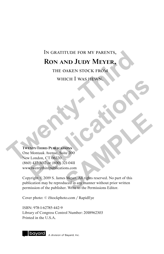# In gratitude for my parents, **Ron and Judy Meyer,** IN GRATITUDE FOR MY PARENTS,<br> **RON AND JUDY MEYER,**<br>
THE OAKEN STOCK FROM<br>
WHICH I WAS HEWN,<br>
WHICH I WAS HEWN,<br>
NEWSPY-THIRD PUBLICATIONS<br>
One Montauk Avenue, Suite 200<br>
New London, CT 06320

the oaken stock from which I was hewn.

#### **Twenty-Third Publications**

One Montauk Avenue, Suite 200 New London, CT 06320 (860) 437-3012 or (800) 321-0411 www.twentythirdpublications.com WHICH I WAS HEW N<br>
MONTE LATER PUBLICATIONS<br>
TENTY-THIRD PUBLICATIONS<br>
MONTALK Avenue, Suite 200<br>
London, CT 06320<br>
AVENUE DU 9. S. James Meyer. All rights reserved. No part of this<br>
wright © 2019 S. James Meyer. All right

Copyright © 2019 S. James Meyer. All rights reserved. No part of this publication may be reproduced in any manner without prior written permission of the publisher. Write to the Permissions Editor. **SAMPLE CONS**<br>
SAMPLE 200<br>
SAMPLE 200<br>
SAMPLE CONS<br>
SAMPLE CONSIDER THE SAMPLE CONSIDER THE SAMPLE CONSIDER THE SAMPLE CONSIDER THE SAMPLE CONSIDER THE SAMPLE CONSIDER THE SAMPLE CONSIDER THE SAMPLE CONSIDER SAMPLE CONSIDE

Cover photo: © iStockphoto.com / RapidEye

ISBN: 978-1-62785-442-9 Library of Congress Control Number: 2018962303 Printed in the U.S.A.



A division of Bavard, Inc.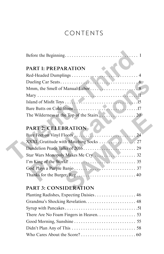### CONTENTS

| <b>PART 1: PREPARATION</b> |
|----------------------------|
|                            |
|                            |
|                            |
|                            |
|                            |
|                            |
|                            |
|                            |
| PART 2: CELEBRATION        |
|                            |
|                            |
|                            |
|                            |
|                            |
|                            |
|                            |

| PART 2: CELEBRATION                    |  |
|----------------------------------------|--|
|                                        |  |
| XXXL Gratitude with Matching Socks  27 |  |
|                                        |  |
|                                        |  |
|                                        |  |
|                                        |  |
|                                        |  |
| <b>PART 3: CONSIDERATION</b>           |  |

#### **PART 3: CONSIDERATION**

| Planting Radishes, Expecting Daisies 46 |  |
|-----------------------------------------|--|
|                                         |  |
|                                         |  |
|                                         |  |
|                                         |  |
|                                         |  |
|                                         |  |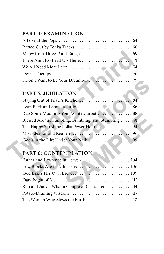#### **PART 4: EXAMINATION**

| I Don't Want to Be Your Dreamboat |  |
|-----------------------------------|--|

#### **PART 5: JUBILATION**

| I Don't Want to Be Your Dreamboat                      |  |
|--------------------------------------------------------|--|
|                                                        |  |
| <b>PART 5: JUBILATION</b>                              |  |
|                                                        |  |
|                                                        |  |
|                                                        |  |
| Blessed Are the Fumbling, Bumbling, and Stumbling $91$ |  |
|                                                        |  |
|                                                        |  |
|                                                        |  |
|                                                        |  |
| <b>PART 6: CONTEMPLATION</b>                           |  |
|                                                        |  |
|                                                        |  |
|                                                        |  |
|                                                        |  |

## **PART 6: CONTEMPLATION**

| Blessed Are the Fumbling, Bumbling, and Stumbling 91 |
|------------------------------------------------------|
|                                                      |
|                                                      |
|                                                      |
|                                                      |
| <b>PART 6: CONTEMPLATION</b>                         |
|                                                      |
|                                                      |
|                                                      |
|                                                      |
| Ron and Judy—What a Couple of Characters 114         |
|                                                      |
| The Woman Who Slows the Earth  120                   |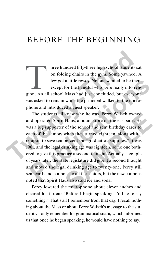### BEFORE THE BEGINNING

hree hundred fifty-three high school students sat on folding chairs in the gym. Some yawned. A few got a little rowdy. No one wanted to be there except for the handful who were really into religion. An all-school Mass had on folding chairs in the gym. Some yawned. A few got a little rowdy. No one wanted to be there except for the handful who were really into reliwas asked to remain while the principal walked to the microphone and introduced a guest speaker.

The students all knew who he was. Percy Walsch owned and operated Spirit Haus, a liquor store on the east side. He was a big supporter of the school and sent birthday cards to each of the seniors when they turned eighteen, along with a coupon to save ten percent on "graduation supplies." It was 1981, and the legal drinking age was eighteen, so no one bothered to give this practice a second thought. Actually, a couple of years later, the state legislature did give it a second thought and moved the legal drinking age to twenty-one. Percy still sent cards and coupons to all the seniors, but the new coupons noted that Spirit Haus also sold ice and soda. Three hundred fifty-three high school students sat on folding chairs in the gym. Some yawned. A few got a little rowdy. No one wanted to be there except for the handful who were really into religion. An all-school Mass had few got a little rowdy. No one wanted to be there<br>except for the handful who were really into reli-<br>ion. An all-school Mass had just concluded, but everyone<br>as asked to remain while the principal walked to the micro-<br>hone knew who he was. Percy Walsch owned<br>Haus, a liquor store on the east side. He<br>of the school and sent birthday cards to<br>when they turned eighteen, along with a<br>percent on "graduation supplies." It was<br>rinking age was eighte

Percy lowered the microphone about eleven inches and cleared his throat: "Before I begin speaking, I'd like to say something." That's all I remember from that day. I recall nothing about the Mass or about Percy Walsch's message to the students. I only remember his grammatical snafu, which informed us that once he began speaking, he would have nothing to say.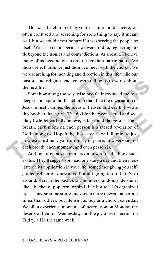This was the church of my youth—honest and sincere, yet often confused and searching for something to say. It meant well, but we could never be sure if it was serving the people or itself. We sat in chairs because we were told to, registering little beyond the ironies and contradictions. As a result, I believe many of us became observers rather than participants. We didn't reject faith, we just didn't connect with the church. We were searching for meaning and direction in this life while our pastors and religion teachers were telling us to worry about the next life.

Somehow along the way, wise people introduced me to a deeper concept of faith, a church that, like the incarnation of Jesus himself, unifies the ideas of heaven and earth. I wrote this book in that spirit. The division between sacred and secular, I wholeheartedly believe, is false and dangerous. Each breath, each moment, each person is a sacred revelation of God among us. Hopefully, these stories will illuminate just how extraordinary your ordinary days are, how very sacred each breath, each moment, and each person is. the beyond the ironies and contradictions. As a result, I believe<br>many of us became observers rather than participants. We<br>didn't reject faith, we just didn't connect with the church. We<br>were searching for meaning and dire tors and religion teachers were telling us to worry about<br>next life.<br>Somehow along the way, wise people introduced me to a<br>per concept of faith, a church that, like the incarnation of<br>us himself, unifies the ideas of heave

Authors often advise readers on how to read a book such as this. They'll suggest you read one story a day and then meditate on its application in your life, sometimes giving you selfguided reflection questions. I'm not going to do that. Skip around, start in the back, draw numbers randomly, devour it like a bucket of popcorn, or sip it like hot tea. It's organized by seasons, so some stories may seem more relevant at certain times than others, but life isn't as tidy as a church calendar. We often experience moments of incarnation on Monday, the deserts of Lent on Wednesday, and the joy of resurrection on Friday, all in the same week. I. The division between sacred and sec-<br>y believe, is false and dangerous. Each<br>, each person is a sacred revelation of<br>fully, these stories will illuminate just<br>ur ordinary days are, how very sacred<br>nent, and each person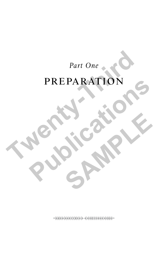## *Part One*

# preparation Part One PREPARATION PREPARATION 65

SAMPLE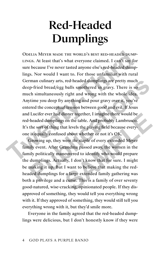# **Red-Headed Dumplings**

Odelia Meyer made the world's best red-headed dumplings. At least that's what everyone claimed. I can't say for sure because I've never tasted anyone else's red-headed dumplings. Nor would I want to. For those unfamiliar with rural German culinary arts, red-headed dumplings are pretty much deep-fried bread/egg balls smothered in gravy. There is so much simultaneously right and wrong with the whole idea. Anytime you deep fry anything and pour gravy over it, you've entered the conceptual tension between good and evil. If Jesus and Lucifer ever had dinner together, I imagine there would be red-headed dumplings on the table. And probably Lambrusco. It's the sort of thing that levels the playing field because everyone is equally confused about whether or not it's OK. ODELIA MEYER MADE THE WORLD'S BEST RED-HEADED DUMPLINGS. At least that's what everyone claimed. I can't say for sure because I've never tasted anyone else's red-headed dumplings. Nor would I want to. For those unfamiliar w rman culinary arts, red-headed dumplings are pretty much<br>p-fried bread/egg balls smothered in gravy. There is so<br>ch simultaneously right and wrong with the whole idea.<br>time you deep fry anything and pour gravy over it, you

Growing up, they were *the* staple of every extended Meyer family event. After Grandma passed away, the women in the family politically maneuvered to identify who would prepare the dumplings. Actually, I don't know that for sure. I might be making it up. But I want to believe that making the redheaded dumplings for a large extended family gathering was both a privilege and a curse. This is a family of over seventy good-natured, wise-cracking, opinionated people. If they disapproved of something, they would tell you everything wrong with it. If they approved of something, they would still tell you everything wrong with it, but they'd smile more. inner together, I imagine there would be<br>on the table. And probably Lambrusco.<br>at levels the playing field because every-<br>d about whether or not it's OK.<br>were the staple of every extended Meyer<br>randma passed away, the wome

Everyone in the family agreed that the red-headed dumplings were delicious, but I don't honestly know if they were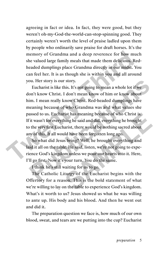agreeing in fact or idea. In fact, they were good, but they weren't oh-my-God-the-world-can-stop-spinning good. They certainly weren't worth the level of praise ladled upon them by people who ordinarily save praise for draft horses. It's the memory of Grandma and a deep reverence for how much she valued large family meals that made them delicious. Redheaded dumplings place Grandma directly in our midst. You can feel her. It is as though she is within you and all around you. Her story is our story.

Eucharist is like this. It's not going to mean a whole lot if we don't know Christ. I don't mean know of him or know about him. I mean really know Christ. Red-headed dumplings have meaning because of who Grandma was and what values she passed to us. Eucharist has meaning because of who Christ is. If it wasn't for everything he said and did, everything he brought to the very first Eucharist, there would be nothing sacred about any of this. It all would have been forgotten long ago. memory of Grandma and a deep reverence for how much<br>she valued large family meals that made them delicious. Red-<br>headed dumplings place Grandma directly in our midst. You<br>can feel her. It is as though she is within you and bu. Her story is our story.<br>
Eucharist is like this. It's not going to mean a whole lot if we<br>
on't know Christ. I don't mean know of him or know about<br>
im. I mean really know Christ. Red-headed dumplings have<br>
neaning bec

So what did Jesus bring? Well, he brought everything and laid it all on the table. He said, listen, we're not going to experience God's kingdom unless we pour our hearts into it. Here, I'll go first. Now it's your turn. You do the same. ist has meaning because of who Christ is.<br>hing he said and did, everything he brought<br>arist, there would be nothing sacred about<br>ld have been forgotten long ago.<br>s bring? Well, he brought everything and<br>e. He said, listen,

I think he's still waiting for us to go.

The Catholic Liturgy of the Eucharist begins with the Offertory for a reason. This is the bold statement of what we're willing to lay on the table to experience God's kingdom. What's it worth to us? Jesus showed us what he was willing to ante up. His body and his blood. And then he went out and did it.

The preparation question we face is, how much of our own blood, sweat, and tears are we putting into the cup? Eucharist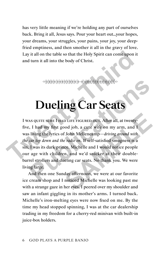has very little meaning if we're holding any part of ourselves back. Bring it all, Jesus says. Pour your heart out…your hopes, your dreams, your struggles, your pains, your joy, your deepfried emptiness, and then smother it all in the gravy of love. Lay it all on the table so that the Holy Spirit can come upon it and turn it all into the body of Christ.

## **Dueling Car Seats**

I was quite sure I had life figured out. After all, at twentyfive, I had my first good job, a cute wife on my arm, and I was living the lyrics of John Mellencamp—*driving around with the car top down and the radio on*. If self-satisfied smugness is a sin, I was its dark prince. Michelle and I would notice people our age with children, and we'd snicker at their doublebarrel strollers and dueling car seats. No thank you. We were living large. Lay it all on the table so that the Holy Spirit can come upon it<br>and turn it all into the body of Christ.<br><br>
Twas quire suce I Hap LIFE FIGURED OUT. After all, at twenty-<br>
I was quire suce I Hap LIFE FIGURED OUT. After all, **PUBLIME CAT SCALS**<br> **PUCLIME CAT SCALS**<br>
As quire soke I had Life Figure D our. After all, at twenty-<br>
i, I had my first good job, a cute wife on my arm, and I<br>
living the lyrics of John Mellencamp—*driving around with*<br> D LIFE FIGURED OUT. After all, at twenty-<br>
bod job, a cute wife on my arm, and I<br>
f John Melleneamp—*driving around with*<br> *e radio on*. If self-satisfied smugness is a<br>
ce. Michelle and I would notice people<br>
n, and we'd

And then one Sunday afternoon, we were at our favorite ice cream shop and I noticed Michelle was looking past me with a strange gaze in her eyes. I peered over my shoulder and saw an infant giggling in its mother's arms. I turned back. Michelle's iron-melting eyes were now fixed on me. By the time my head stopped spinning, I was at the car dealership trading in my freedom for a cherry-red minivan with built-in juice-box holders.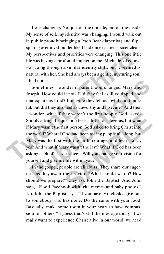I was changing. Not just on the outside, but on the inside. My sense of self, my identity, was changing. I would walk out in public proudly swinging a Pooh Bear diaper bag and flip a spit rag over my shoulder like I had once carried soccer cleats. My perspectives and priorities were changing. This one little life was having a profound impact on me. Michelle, of course, was going through a similar identity shift, but it seemed so natural with her. She had always been a gentle, nurturing soul; I had not.

Sometimes I wonder if parenthood changed Mary and Joseph. How could it not? Did they feel as ill-equipped and inadequate as I did? I imagine they felt as joyful and thankful, but did they also feel as unworthy and insecure? And then I wonder…what if they weren't the first people God asked? Simply asking the question feels a little sacrilegious, but what if Mary wasn't the first person God asked to bring Christ into the world? What if God had been asking people all along, but Mary was the first with the faith, courage, and heart to say yes? And what if Mary wasn't the last? What if God has been asking each of us ever since, "Will you change your vision for yourself and give me life within you?" My perspectives and priorities were changing. This one little<br>life was having a profound impact on me. Michelle, of course,<br>was going through a similar identity shift, but it seemed so<br>natural with her. She had always been had not.<br>
Sometimes I wonder if parenthood changed Mary and<br>
Seeph. How could it not? Did they feel as ill-equipped and<br>
nadequate as I did? I imagine they felt as joyful and thank-<br>
il, but did they also feel as unworthy hey weren't the first people God asked?<br>uestion feels a little sacrilegious, but what<br>rst person God asked to bring Christ into<br>Jod had been asking people all along, but<br>with the faith, courage, and heart to say<br>ury wasn't

In the gospel, people are all abuzz. They share our eagerness as they await their savior. "What should we do? How should we prepare?" they ask John the Baptist. And John says, "Flood Facebook with trite memes and baby photos." No, John the Baptist says, "If you have two cloaks, give one to somebody who has none. Do the same with your food. Basically, make some room in your heart to have compassion for others." I guess that's still the message today. If we really want to experience Christ alive in our world, we need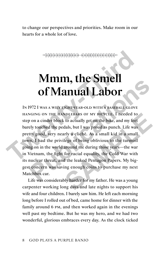to change our perspectives and priorities. Make room in our hearts for a whole lot of love.

# **Mmm, the Smell of Manual Labor**

In 1972 I was a wily eight-year-old with a baseball glove hanging on the handlebars of my bicycle. I needed to step on a cinder block to actually get on the bike, and my feet barely touched the pedals, but I was proud as punch. Life was pretty good, very nearly a cliché. As a small kid in a small town, I had the privilege of being oblivious to the turmoil going on in the world around me during those years—the war in Vietnam, the fight for racial equality, the Cold War with its nuclear threat, and the leaked Pentagon Papers. My biggest concern was saving enough coins to purchase my next Matchbox car. **TWELT AND STAND SECUTE CONTROLL SET AND SET AND SET AND SET AND SET AND SET AND SET AND SET AND SET AND SET AND SET AND SET AND SET AND SET AND SET AND SET AND SET AND SET AND SET AND SET AND SET AND SET AND SET AND SET A PUBLICATE CONTRACTS CONTRACTS CONTRACTS (DESCRIPTIONS)**<br>
1972 I was a with effert year-old with a baseball glove<br>
NGING ON THE HANDLEBARS OF MY BICYCLE. I needed to<br>
2 on a cinder block to actually get on the bike, and my NDLEBARS OF MY BICYCLE. I needed to<br>to actually get on the bike, and my feet<br>dals, but I was proud as punch. Life was<br>rly a cliché. As a small kid in a small<br>lege of being oblivious to the turmoil<br>around me during those ye

Life was considerably harder for my father. He was a young carpenter working long days and late nights to support his wife and four children. I barely saw him. He left each morning long before I rolled out of bed, came home for dinner with the family around 6 pm, and then worked again in the evenings well past my bedtime. But he was my hero, and we had two wonderful, glorious embraces every day. As the clock ticked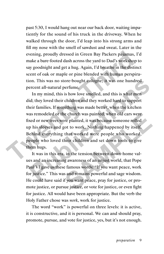past 5:30, I would hang out near our back door, waiting impatiently for the sound of his truck in the driveway. When he walked through the door, I'd leap into his strong arms and fill my nose with the smell of sawdust and sweat. Later in the evening, proudly dressed in Green Bay Packers pajamas, I'd make a bare-footed dash across the yard to Dad's workshop to say goodnight and get a hug. Again, I'd breathe in the distinct scent of oak or maple or pine blended with human perspiration. This was no store-bought cologne; it was one hundred percent all-natural perfume.

In my mind, this is how love smelled, and this is what men did; they loved their children and they worked hard to support their families. If something was made better, when the kitchen was remodeled or the church was painted, when old cars were fixed or new trees were planted, it was because someone rolled up his sleeves and got to work. Nothing happened by itself. Behind everything that worked were people who worked, people who loved their children and set down tools to give them hugs. evening, proudly dressed in Green Bay Packers pajamas, I'd<br>make a bare-footed dash across the yard to Dad's workshop to<br>say goodnight and get a hug. Again, I'd breathe in the distinct<br>scent of oak or maple or pine blended on. This was no store-bought cologne; it was one hundred<br>ercent all-natural perfume.<br>In my mind, this is how love smelled, and this is what men<br>id; they loved their children and they worked hard to support<br>neir families. I

It was in this era, in the tension between down-home values and an increasing awareness of an unjust world, that Pope Paul VI gave us these famous words: "If you want peace, work for justice." This was and remains powerful and sage wisdom. He could have said if you want peace, pray for justice, or promote justice, or pursue justice, or vote for justice, or even fight for justice. All would have been appropriate. But the verb the Holy Father chose was *work*, work for justice. is external that was painted, when old cars were<br>replanted, it was because someone rolled<br>foot to work. Nothing happened by itself.<br>that worked were people who worked,<br>heir children and set down tools to give<br>is their chil

The word "work" is powerful on three levels: it is active, it is constructive, and it is personal. We can and should pray, promote, pursue, and vote for justice, yes, but it's not enough.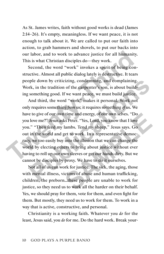As St. James writes, faith without good works is dead (James 2:14–26). It's empty, meaningless. If we want peace, it is not enough to talk about it. We are called to put our faith into action, to grab hammers and shovels, to put our backs into our labor, and to work to advance justice for all humanity. This is what Christian disciples do—they work.

Second, the word "work" invokes a spirit of being constructive. Almost all public dialog lately is destructive. It tears people down by criticizing, condemning, and complaining. Work, in the tradition of the carpenter's son, is about building something good. If we want peace, we must build justice.

And third, the word "work" makes it personal. Work not only requires something *from* us; it requires something *of* us. We have to give of our own time and energy, of our own selves. "Do you love me?" Jesus asks Peter. "Yes, Lord, you know that I love you." "Then feed my lambs. Tend my sheep," Jesus says. Go out in the world and get to work. In a representative democracy, we too easily buy into the illusion that we can change the world by electing others to bring about justice without ever having to roll up our own sleeves or get our hands dirty. But we cannot be disciples by proxy. We have to do it ourselves. our labor, and to work to advance justice for all humanity.<br>This is what Christian disciples do—they work.<br>Second, the word "work" invokes a spirit of being con-<br>structive. Almost all public dialog lately is destructive. I ple down by criticizing, condemning, and complaining.<br>
rk, in the tradition of the carpenter's son, is about build-<br>
something good. If we want peace, we must build justice.<br>
And third, the word "work" makes it personal. W it time and energy, of our own selves. "Do<br>
ss Peter. "Yes, Lord, you know that I love<br>
lambs. Tend my sheep," Jesus says. Go<br>
get to work. In a representative democ-<br>
into the illusion that we can change the<br>
ers to bring

Not all of us can work for justice. The sick, the aging, those with mental illness, victims of abuse and human trafficking, children, the preborn…these people are unable to work for justice, so they need us to work all the harder on their behalf. Yes, we should pray for them, vote for them, and even fight for them. But mostly, they need us to work for them. To work in a way that is active, constructive, and personal.

Christianity is a working faith. Whatever you *do* for the least, Jesus said, you *do* for me. Do the hard work. Break your